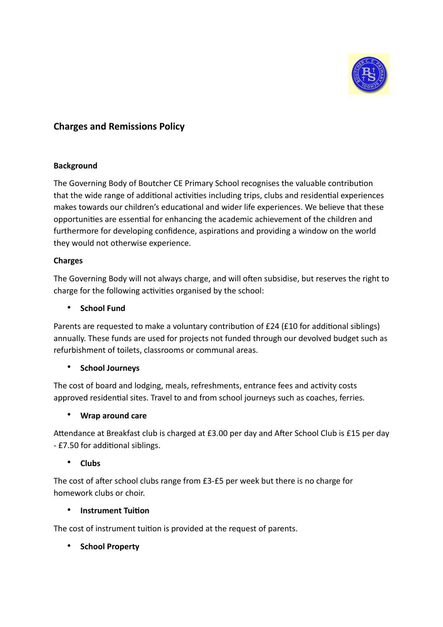

# **Charges and Remissions Policy**

## **Background**

The Governing Body of Boutcher CE Primary School recognises the valuable contribution that the wide range of additional activities including trips, clubs and residential experiences makes towards our children's educational and wider life experiences. We believe that these opportunities are essential for enhancing the academic achievement of the children and furthermore for developing confidence, aspirations and providing a window on the world they would not otherwise experience.

#### **Charges**

The Governing Body will not always charge, and will often subsidise, but reserves the right to charge for the following activities organised by the school:

#### • **School Fund**

Parents are requested to make a voluntary contribution of £24 (£10 for additional siblings) annually. These funds are used for projects not funded through our devolved budget such as refurbishment of toilets, classrooms or communal areas.

## • **School Journeys**

The cost of board and lodging, meals, refreshments, entrance fees and activity costs approved residential sites. Travel to and from school journeys such as coaches, ferries.

## • **Wrap around care**

Attendance at Breakfast club is charged at £3.00 per day and After School Club is £15 per day - £7.50 for additional siblings.

## • **Clubs**

The cost of after school clubs range from £3-£5 per week but there is no charge for homework clubs or choir.

## **•** Instrument Tuition

The cost of instrument tuition is provided at the request of parents.

• **School Property**